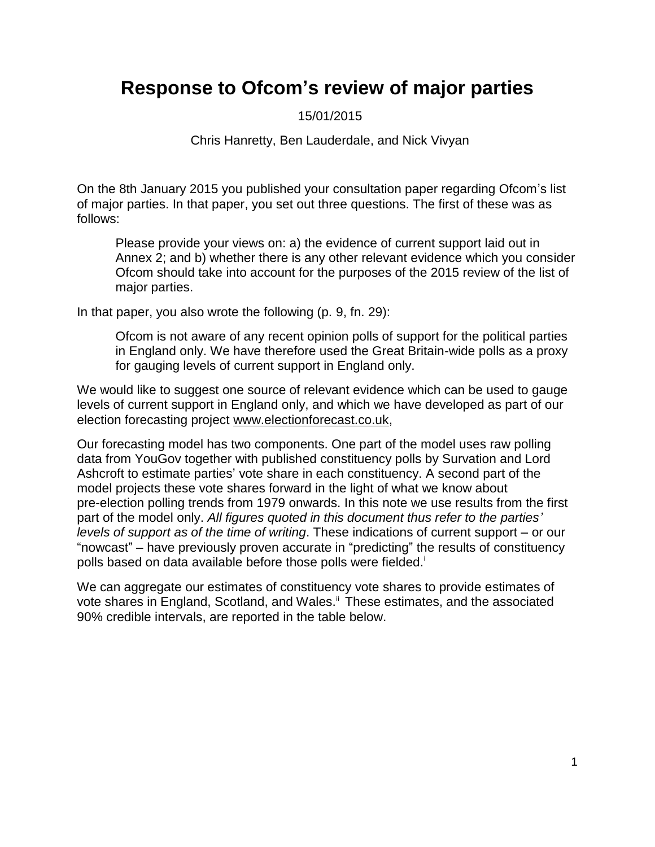## **Response to Ofcom's review of major parties**

15/01/2015

Chris Hanretty, Ben Lauderdale, and Nick Vivyan

On the 8th January 2015 you published your consultation paper regarding Ofcom's list of major parties. In that paper, you set out three questions. The first of these was as follows:

Please provide your views on: a) the evidence of current support laid out in Annex 2; and b) whether there is any other relevant evidence which you consider Ofcom should take into account for the purposes of the 2015 review of the list of major parties.

In that paper, you also wrote the following (p. 9, fn. 29):

Ofcom is not aware of any recent opinion polls of support for the political parties in England only. We have therefore used the Great Britain-wide polls as a proxy for gauging levels of current support in England only.

We would like to suggest one source of relevant evidence which can be used to gauge levels of current support in England only, and which we have developed as part of our election forecasting project [www.electionforecast.co.uk,](www.electionforecast.co.uk)

Our forecasting model has two components. One part of the model uses raw polling data from YouGov together with published constituency polls by Survation and Lord Ashcroft to estimate parties' vote share in each constituency. A second part of the model projects these vote shares forward in the light of what we know about pre-election polling trends from 1979 onwards. In this note we use results from the first part of the model only. *All figures quoted in this document thus refer to the parties' levels of support as of the time of writing*. These indications of current support – or our "nowcast" – have previously proven accurate in "predicting" the results of constituency polls based on data available before those polls were fielded.<sup>i</sup>

We can aggregate our estimates of constituency vote shares to provide estimates of vote shares in England, Scotland, and Wales.<sup>ii</sup> These estimates, and the associated 90% credible intervals, are reported in the table below.